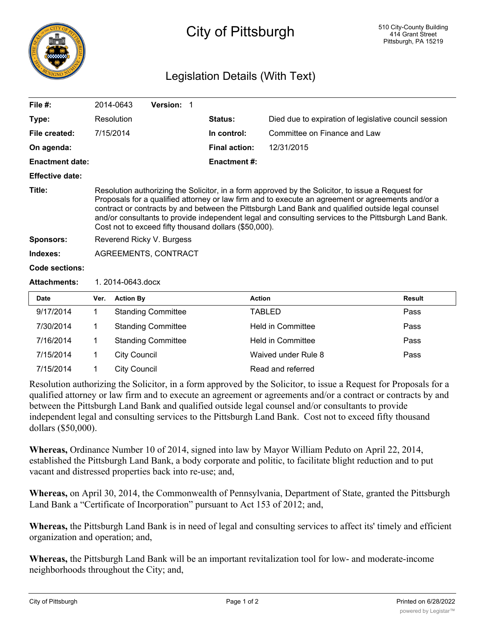

## City of Pittsburgh

## Legislation Details (With Text)

| File $#$ :             |                                                                                                                                                                                                                                                                                                                                                                                                                                                                              | 2014-0643           | Version: 1                |  |                      |                                                       |               |
|------------------------|------------------------------------------------------------------------------------------------------------------------------------------------------------------------------------------------------------------------------------------------------------------------------------------------------------------------------------------------------------------------------------------------------------------------------------------------------------------------------|---------------------|---------------------------|--|----------------------|-------------------------------------------------------|---------------|
| Type:                  |                                                                                                                                                                                                                                                                                                                                                                                                                                                                              | Resolution          |                           |  | Status:              | Died due to expiration of legislative council session |               |
| File created:          |                                                                                                                                                                                                                                                                                                                                                                                                                                                                              | 7/15/2014           |                           |  | In control:          | Committee on Finance and Law                          |               |
| On agenda:             |                                                                                                                                                                                                                                                                                                                                                                                                                                                                              |                     |                           |  | <b>Final action:</b> | 12/31/2015                                            |               |
| <b>Enactment date:</b> |                                                                                                                                                                                                                                                                                                                                                                                                                                                                              |                     |                           |  | <b>Enactment #:</b>  |                                                       |               |
| <b>Effective date:</b> |                                                                                                                                                                                                                                                                                                                                                                                                                                                                              |                     |                           |  |                      |                                                       |               |
| Title:                 | Resolution authorizing the Solicitor, in a form approved by the Solicitor, to issue a Request for<br>Proposals for a qualified attorney or law firm and to execute an agreement or agreements and/or a<br>contract or contracts by and between the Pittsburgh Land Bank and qualified outside legal counsel<br>and/or consultants to provide independent legal and consulting services to the Pittsburgh Land Bank.<br>Cost not to exceed fifty thousand dollars (\$50,000). |                     |                           |  |                      |                                                       |               |
| <b>Sponsors:</b>       | Reverend Ricky V. Burgess                                                                                                                                                                                                                                                                                                                                                                                                                                                    |                     |                           |  |                      |                                                       |               |
| Indexes:               | <b>AGREEMENTS, CONTRACT</b>                                                                                                                                                                                                                                                                                                                                                                                                                                                  |                     |                           |  |                      |                                                       |               |
| <b>Code sections:</b>  |                                                                                                                                                                                                                                                                                                                                                                                                                                                                              |                     |                           |  |                      |                                                       |               |
| <b>Attachments:</b>    | 1.2014-0643.docx                                                                                                                                                                                                                                                                                                                                                                                                                                                             |                     |                           |  |                      |                                                       |               |
| <b>Date</b>            | Ver.                                                                                                                                                                                                                                                                                                                                                                                                                                                                         | <b>Action By</b>    |                           |  |                      | <b>Action</b>                                         | <b>Result</b> |
| 9/17/2014              | 1                                                                                                                                                                                                                                                                                                                                                                                                                                                                            |                     | <b>Standing Committee</b> |  |                      | <b>TABLED</b>                                         | Pass          |
| 7/30/2014              | 1                                                                                                                                                                                                                                                                                                                                                                                                                                                                            |                     | <b>Standing Committee</b> |  |                      | <b>Held in Committee</b>                              | Pass          |
| 7/16/2014              | 1                                                                                                                                                                                                                                                                                                                                                                                                                                                                            |                     | <b>Standing Committee</b> |  |                      | <b>Held in Committee</b>                              | Pass          |
| 7/15/2014              | 1                                                                                                                                                                                                                                                                                                                                                                                                                                                                            | <b>City Council</b> |                           |  |                      | Waived under Rule 8                                   | Pass          |
| 7/15/2014              | 1                                                                                                                                                                                                                                                                                                                                                                                                                                                                            | <b>City Council</b> |                           |  |                      | Read and referred                                     |               |

Resolution authorizing the Solicitor, in a form approved by the Solicitor, to issue a Request for Proposals for a qualified attorney or law firm and to execute an agreement or agreements and/or a contract or contracts by and between the Pittsburgh Land Bank and qualified outside legal counsel and/or consultants to provide independent legal and consulting services to the Pittsburgh Land Bank. Cost not to exceed fifty thousand dollars (\$50,000).

**Whereas,** Ordinance Number 10 of 2014, signed into law by Mayor William Peduto on April 22, 2014, established the Pittsburgh Land Bank, a body corporate and politic, to facilitate blight reduction and to put vacant and distressed properties back into re-use; and,

**Whereas,** on April 30, 2014, the Commonwealth of Pennsylvania, Department of State, granted the Pittsburgh Land Bank a "Certificate of Incorporation" pursuant to Act 153 of 2012; and,

**Whereas,** the Pittsburgh Land Bank is in need of legal and consulting services to affect its' timely and efficient organization and operation; and,

**Whereas,** the Pittsburgh Land Bank will be an important revitalization tool for low- and moderate-income neighborhoods throughout the City; and,